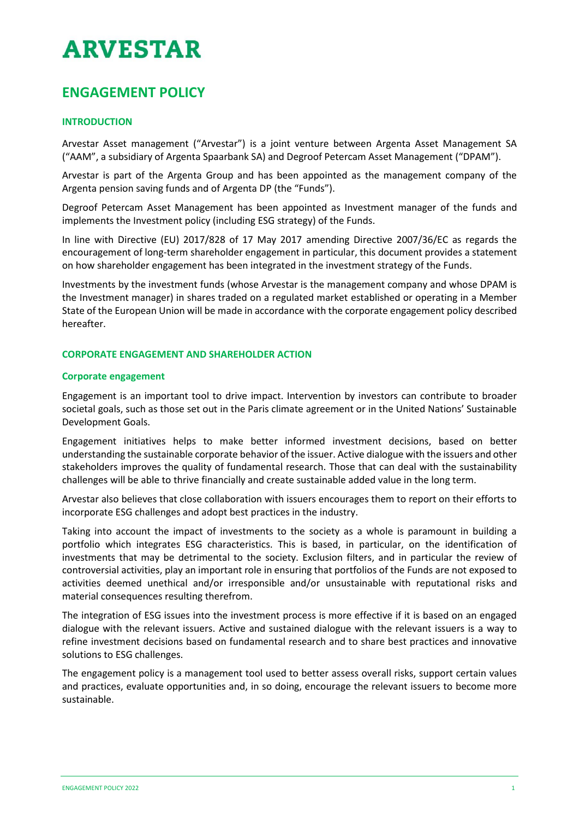# **ARVESTAR**

## **ENGAGEMENT POLICY**

### **INTRODUCTION**

Arvestar Asset management ("Arvestar") is a joint venture between Argenta Asset Management SA ("AAM", a subsidiary of Argenta Spaarbank SA) and Degroof Petercam Asset Management ("DPAM").

Arvestar is part of the Argenta Group and has been appointed as the management company of the Argenta pension saving funds and of Argenta DP (the "Funds").

Degroof Petercam Asset Management has been appointed as Investment manager of the funds and implements the Investment policy (including ESG strategy) of the Funds.

In line with Directive (EU) 2017/828 of 17 May 2017 amending Directive 2007/36/EC as regards the encouragement of long-term shareholder engagement in particular, this document provides a statement on how shareholder engagement has been integrated in the investment strategy of the Funds.

Investments by the investment funds (whose Arvestar is the management company and whose DPAM is the Investment manager) in shares traded on a regulated market established or operating in a Member State of the European Union will be made in accordance with the corporate engagement policy described hereafter.

#### **CORPORATE ENGAGEMENT AND SHAREHOLDER ACTION**

#### **Corporate engagement**

Engagement is an important tool to drive impact. Intervention by investors can contribute to broader societal goals, such as those set out in the Paris climate agreement or in the United Nations' Sustainable Development Goals.

Engagement initiatives helps to make better informed investment decisions, based on better understanding the sustainable corporate behavior of the issuer. Active dialogue with the issuers and other stakeholders improves the quality of fundamental research. Those that can deal with the sustainability challenges will be able to thrive financially and create sustainable added value in the long term.

Arvestar also believes that close collaboration with issuers encourages them to report on their efforts to incorporate ESG challenges and adopt best practices in the industry.

Taking into account the impact of investments to the society as a whole is paramount in building a portfolio which integrates ESG characteristics. This is based, in particular, on the identification of investments that may be detrimental to the society. Exclusion filters, and in particular the review of controversial activities, play an important role in ensuring that portfolios of the Funds are not exposed to activities deemed unethical and/or irresponsible and/or unsustainable with reputational risks and material consequences resulting therefrom.

The integration of ESG issues into the investment process is more effective if it is based on an engaged dialogue with the relevant issuers. Active and sustained dialogue with the relevant issuers is a way to refine investment decisions based on fundamental research and to share best practices and innovative solutions to ESG challenges.

The engagement policy is a management tool used to better assess overall risks, support certain values and practices, evaluate opportunities and, in so doing, encourage the relevant issuers to become more sustainable.